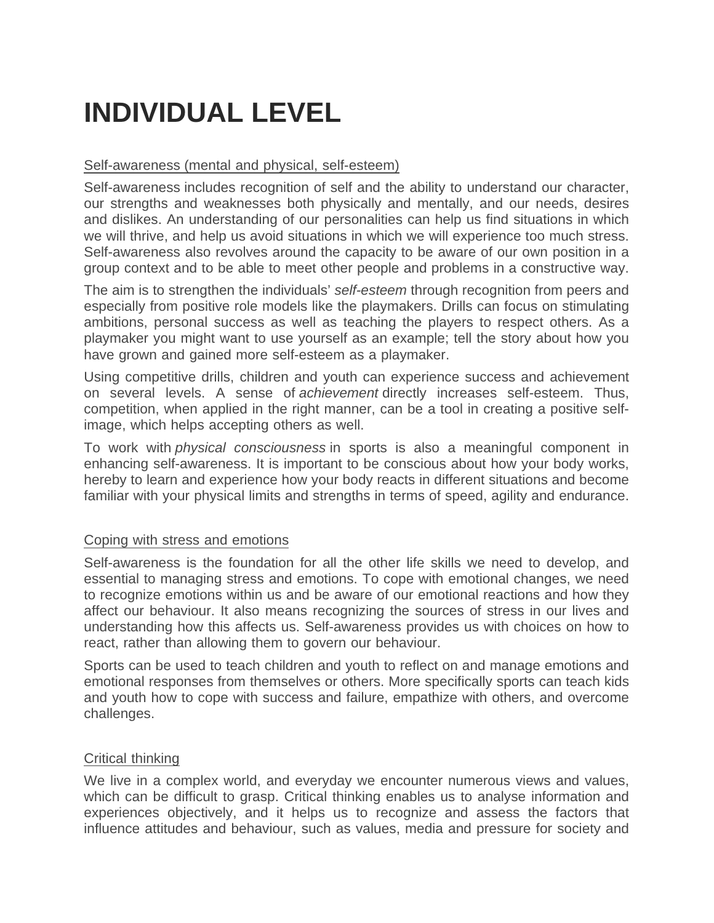# **INDIVIDUAL LEVEL**

### Self-awareness (mental and physical, self-esteem)

Self-awareness includes recognition of self and the ability to understand our character, our strengths and weaknesses both physically and mentally, and our needs, desires and dislikes. An understanding of our personalities can help us find situations in which we will thrive, and help us avoid situations in which we will experience too much stress. Self-awareness also revolves around the capacity to be aware of our own position in a group context and to be able to meet other people and problems in a constructive way.

The aim is to strengthen the individuals' *self-esteem* through recognition from peers and especially from positive role models like the playmakers. Drills can focus on stimulating ambitions, personal success as well as teaching the players to respect others. As a playmaker you might want to use yourself as an example; tell the story about how you have grown and gained more self-esteem as a playmaker.

Using competitive drills, children and youth can experience success and achievement on several levels. A sense of *achievement* directly increases self-esteem. Thus, competition, when applied in the right manner, can be a tool in creating a positive selfimage, which helps accepting others as well.

To work with *physical consciousness* in sports is also a meaningful component in enhancing self-awareness. It is important to be conscious about how your body works, hereby to learn and experience how your body reacts in different situations and become familiar with your physical limits and strengths in terms of speed, agility and endurance.

### Coping with stress and emotions

Self-awareness is the foundation for all the other life skills we need to develop, and essential to managing stress and emotions. To cope with emotional changes, we need to recognize emotions within us and be aware of our emotional reactions and how they affect our behaviour. It also means recognizing the sources of stress in our lives and understanding how this affects us. Self-awareness provides us with choices on how to react, rather than allowing them to govern our behaviour.

Sports can be used to teach children and youth to reflect on and manage emotions and emotional responses from themselves or others. More specifically sports can teach kids and youth how to cope with success and failure, empathize with others, and overcome challenges.

### Critical thinking

We live in a complex world, and everyday we encounter numerous views and values, which can be difficult to grasp. Critical thinking enables us to analyse information and experiences objectively, and it helps us to recognize and assess the factors that influence attitudes and behaviour, such as values, media and pressure for society and